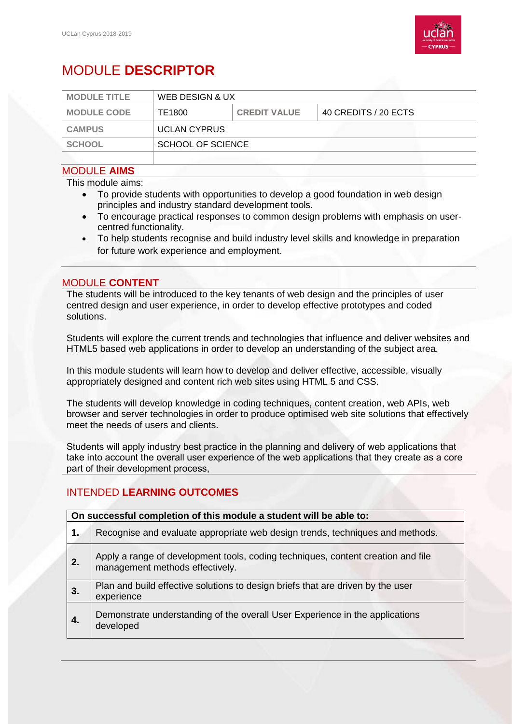

# MODULE **DESCRIPTOR**

| <b>MODULE TITLE</b> | WEB DESIGN & UX     |                     |                      |
|---------------------|---------------------|---------------------|----------------------|
| <b>MODULE CODE</b>  | TE1800              | <b>CREDIT VALUE</b> | 40 CREDITS / 20 ECTS |
| <b>CAMPUS</b>       | <b>UCLAN CYPRUS</b> |                     |                      |
| <b>SCHOOL</b>       | SCHOOL OF SCIENCE   |                     |                      |
|                     |                     |                     |                      |

### MODULE **AIMS**

This module aims:

- To provide students with opportunities to develop a good foundation in web design principles and industry standard development tools.
- To encourage practical responses to common design problems with emphasis on usercentred functionality.
- To help students recognise and build industry level skills and knowledge in preparation for future work experience and employment.

## MODULE **CONTENT**

The students will be introduced to the key tenants of web design and the principles of user centred design and user experience, in order to develop effective prototypes and coded solutions.

Students will explore the current trends and technologies that influence and deliver websites and HTML5 based web applications in order to develop an understanding of the subject area.

In this module students will learn how to develop and deliver effective, accessible, visually appropriately designed and content rich web sites using HTML 5 and CSS.

The students will develop knowledge in coding techniques, content creation, web APIs, web browser and server technologies in order to produce optimised web site solutions that effectively meet the needs of users and clients.

Students will apply industry best practice in the planning and delivery of web applications that take into account the overall user experience of the web applications that they create as a core part of their development process,

# INTENDED **LEARNING OUTCOMES**

| On successful completion of this module a student will be able to: |                                                                                                                     |  |  |
|--------------------------------------------------------------------|---------------------------------------------------------------------------------------------------------------------|--|--|
| 1.                                                                 | Recognise and evaluate appropriate web design trends, techniques and methods.                                       |  |  |
| 2.                                                                 | Apply a range of development tools, coding techniques, content creation and file<br>management methods effectively. |  |  |
| 3.                                                                 | Plan and build effective solutions to design briefs that are driven by the user<br>experience                       |  |  |
| 4.                                                                 | Demonstrate understanding of the overall User Experience in the applications<br>developed                           |  |  |